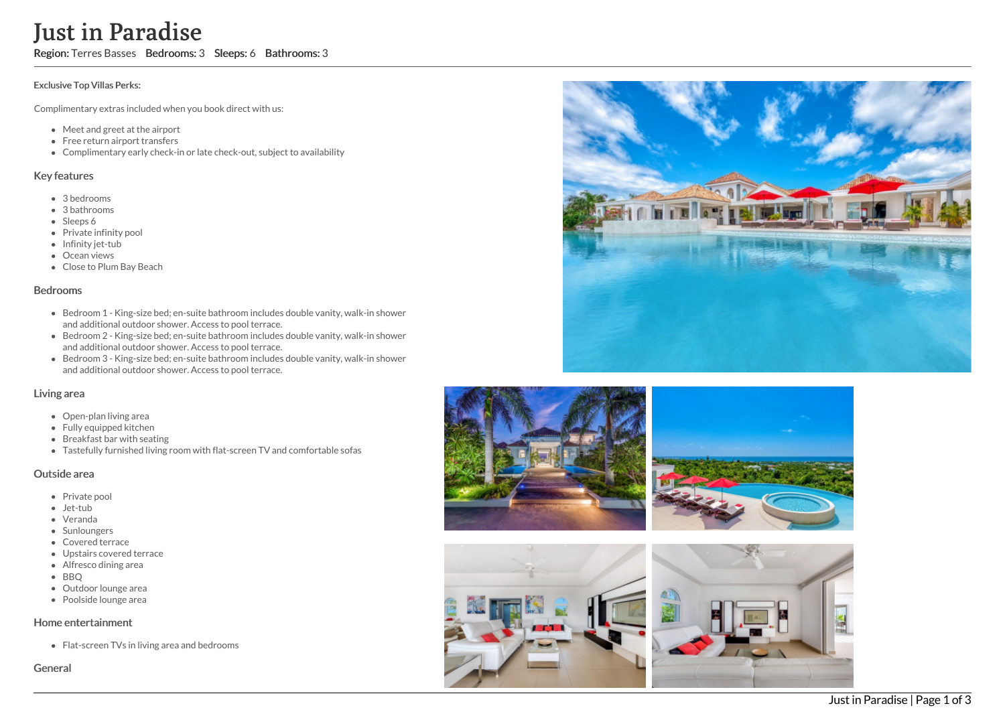# **Just**<br> **Exclusive To Complimen**<br>
• Mee<br>
• Free<br>
• Com<br> **Key featur**<br>
• 3 be<br>
• Sha<br>
• She<br>
• Clos<br>
• Bed and<br>
• Bed and<br>
• Bed and<br>
• Bed and<br>
• Bed and<br>
• Bed and<br>
• Bed and<br>
• Bed and<br>
• Bed and<br>
• Bed and<br>
• Bed and<br>
• in Paradise

Region: Terres Basses Bedrooms: 3 Sleeps: 6 Bathrooms: 3

### Exclusive Top Villas Perks:

Complimentary extras included when you book direct with us:

- Meet and greet at the airport
- Free return airport transfers
- Complimentary early check-in or late check-out, subject to availability

# Key features

- 3 b e d r o o m s
- 3 bathrooms
- Sleeps 6
- Private infinity pool
- Infinity jet-tub
- Ocean views
- Close to Plum Bay B e a c h

### **Bedrooms**

- Bedroom 1 King-size bed; en-suite bathroom includes double vanity, walk-in shower and additional outdoor shower. Access to pool terrace.
- Bedroom 2 King-size bed; en-suite bathroom includes double vanity, walk-in shower and additional outdoor shower. Access to pool terrace.
- Bedroom 3 King-size bed; en-suite bathroom includes double vanity, walk-in shower and additional outdoor shower. Access to pool terrace.

# Living area

- Open-plan living area
- Fully equipped kitchen
- Breakfast bar with seating
- Tastefully furnished living room with flat-screen TV and comfortable sofas

# Outside area

- Private pool
- Jet-tub
- Veranda
- Sunloungers
- Covered terrace
- Upstairs covered terrace
- Alfresco dining area
- B B Q
- Outdoor lounge area
- Poolside lounge area

# Home entertainment

Flat-screen TVs in living area and bedrooms

Genera







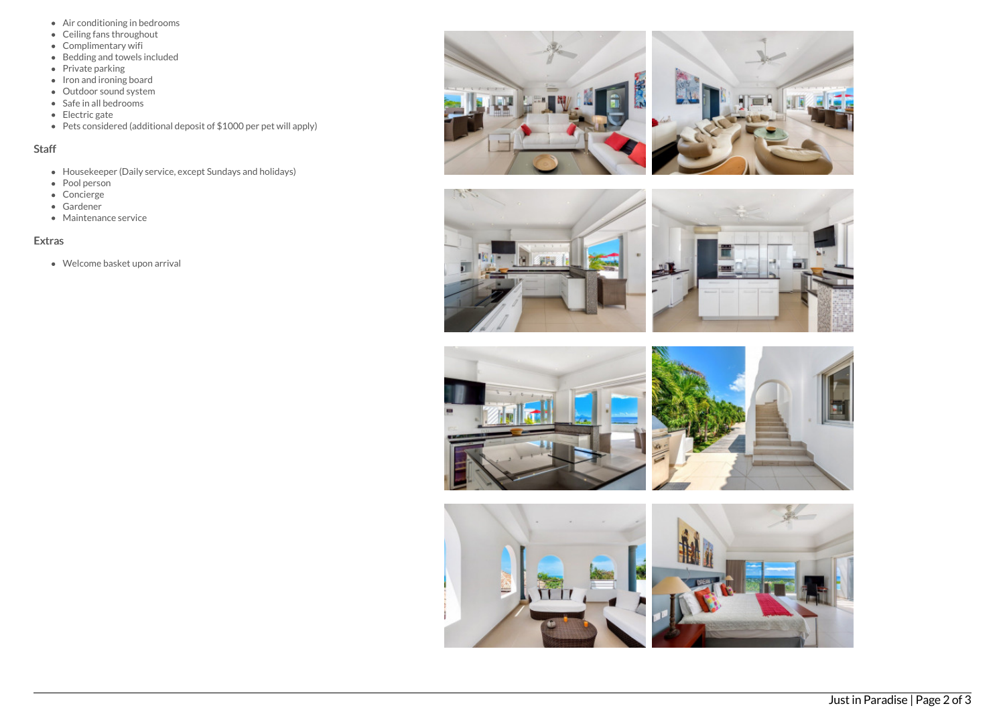- Air conditioning in bedrooms
- Ceiling fans throughout
- Complimentary wifi
- Bedding and towels included
- Private parking
- Iron and ironing board
- Outdoor sound system
- $\bullet$  Safe in all bedrooms
- Electric gate
- Pets considered (additional deposit of \$1000 per pet will apply)

# Staff

- Housekeeper (Daily service, except Sundays and holidays)
- Pool person
- Concierge
- Gardener
- Maintenance service

# Extras

Welcome basket upon arrival